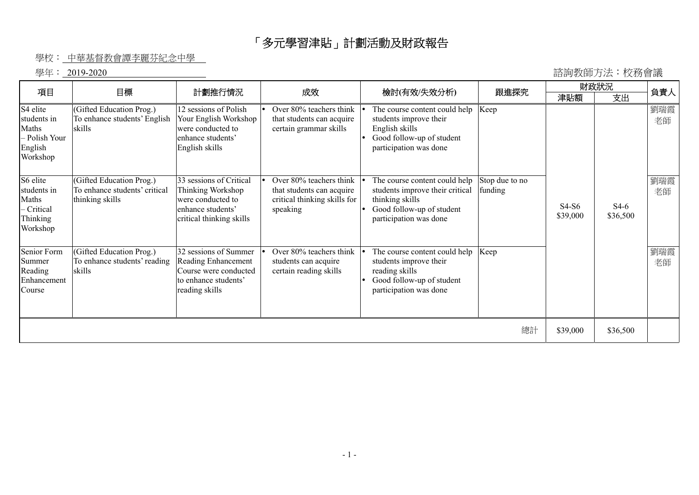## 「多元學習津貼」計劃活動及財政報告

## 學校: 中華基督教會譚李麗芬紀念中學

學年: 2019-2020 諮詢教師方法︰校務會議

|                                                                          | 目標                                                                           |                                                                                                                    |                                                                                                  |                                                                                                                                            |                           | 財政狀況                |                    | 負責人       |
|--------------------------------------------------------------------------|------------------------------------------------------------------------------|--------------------------------------------------------------------------------------------------------------------|--------------------------------------------------------------------------------------------------|--------------------------------------------------------------------------------------------------------------------------------------------|---------------------------|---------------------|--------------------|-----------|
| 項目                                                                       |                                                                              | 計劃推行情況                                                                                                             | 成效                                                                                               | 檢討(有效/失效分析)                                                                                                                                | 跟進探究                      | 津貼額                 | 支出                 |           |
| S4 elite<br>students in<br>Maths<br>- Polish Your<br>English<br>Workshop | (Gifted Education Prog.)<br>To enhance students' English<br>skills           | 12 sessions of Polish<br>Your English Workshop<br>were conducted to<br>enhance students'<br>English skills         | Over 80% teachers think<br>that students can acquire<br>certain grammar skills                   | The course content could help<br>students improve their<br>English skills<br>Good follow-up of student<br>participation was done           | Keep                      |                     |                    | 劉瑞霞<br>老師 |
| S6 elite<br>students in<br>Maths<br>Critical<br>Thinking<br>Workshop     | (Gifted Education Prog.)<br>To enhance students' critical<br>thinking skills | 33 sessions of Critical<br>Thinking Workshop<br>were conducted to<br>enhance students'<br>critical thinking skills | Over 80% teachers think<br>that students can acquire<br>critical thinking skills for<br>speaking | The course content could help<br>students improve their critical<br>thinking skills<br>Good follow-up of student<br>participation was done | Stop due to no<br>funding | $S4-S6$<br>\$39,000 | $S4-6$<br>\$36,500 | 劉瑞霞<br>老師 |
| Senior Form<br>Summer<br>Reading<br>Enhancement<br>Course                | (Gifted Education Prog.)<br>To enhance students' reading<br>skills           | 32 sessions of Summer<br>Reading Enhancement<br>Course were conducted<br>to enhance students'<br>reading skills    | Over 80% teachers think<br>students can acquire<br>certain reading skills                        | The course content could help<br>students improve their<br>reading skills<br>Good follow-up of student<br>participation was done           | Keep                      |                     |                    | 劉瑞霞<br>老師 |
|                                                                          |                                                                              |                                                                                                                    |                                                                                                  |                                                                                                                                            | 總計                        | \$39,000            | \$36,500           |           |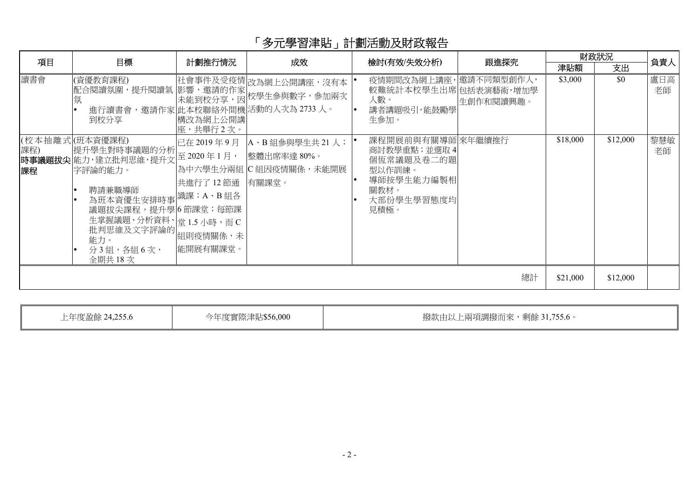## 「多元學習津貼」計劃活動及財政報告

| 項目        | 目標                                                                                                                                                                                                                            | 計劃推行情況                                            | 成效                                                                                                         | 檢討(有效/失效分析)                                                                                         | 跟進探究      |          | 財政狀況     | 負責人       |
|-----------|-------------------------------------------------------------------------------------------------------------------------------------------------------------------------------------------------------------------------------|---------------------------------------------------|------------------------------------------------------------------------------------------------------------|-----------------------------------------------------------------------------------------------------|-----------|----------|----------|-----------|
|           |                                                                                                                                                                                                                               |                                                   |                                                                                                            |                                                                                                     |           | 津貼額      | 支出       |           |
| 讀書會       | (資優教育課程)<br>氛<br>進行讀書會,邀請作家 此本校聯絡外間機 活動的人次為 2733 人。<br>到校分享                                                                                                                                                                   | 構改為網上公開講<br>座,共舉行2次。                              | 社會事件及受疫情 改為網上公開講座,沒有本<br>  「全が行告」<br> 配合関讀氛圍,提升閱讀氣  影響,邀請的作家  以為納工公開講座,及有平<br>  氛   本能到校分享,因  校學生參與數字,參加兩次 | 疫情期間改為網上講座,邀請不同類型創作人,<br>較難統計本校學生出席包括表演藝術,增加學<br>人數。<br>講者講題吸引,能鼓勵學<br>生參加。                         | 生創作和閱讀興趣。 | \$3,000  | \$0      | 盧日高<br>老師 |
| 課程)<br>課程 | (校本抽離式 (班本資優課程)<br>提升學生對時事議題的分析<br>時事議題拔尖 能力,建立批判思維,提升文<br>字評論的能力。<br>聘請兼職導師<br>為班本資優生安排時事 <sup>設課;A、B組各</sup><br>議題拔尖課程,提升學6節課堂;每節課<br>生掌握議題、分析資料、堂 1.5 小時,而 C<br>王宇浩……」<br>批判思維及文字評論的 <br> 組則疫情關係,未 <br>分3組,各組6次,<br>全期共18次 | 已在 2019年9月<br>至 2020年1月,<br>共進行了12節通<br> 能開展有關課堂。 | A、B 組參與學生共 21人;<br>整體出席率達 80%。<br>為中六學生分兩組 C 組因疫情關係,未能開展<br>有關課堂。                                          | 課程開展前與有關導師來年繼續推行<br>商討教學重點;並選取4<br>個恆常議題及卷二的題<br>型以作訓練。<br>導師按學生能力編製相<br>關教材。<br>大部份學生學習態度均<br>見積極。 |           | \$18,000 | \$12,000 | 黎慧敏<br>老師 |
|           |                                                                                                                                                                                                                               |                                                   |                                                                                                            |                                                                                                     | 總計        | \$21,000 | \$12,000 |           |

上年度盈餘 24,255.6 今年度實際津貼\$56,000 | 撥款由以上兩項調撥而來,剩餘 31,755.6。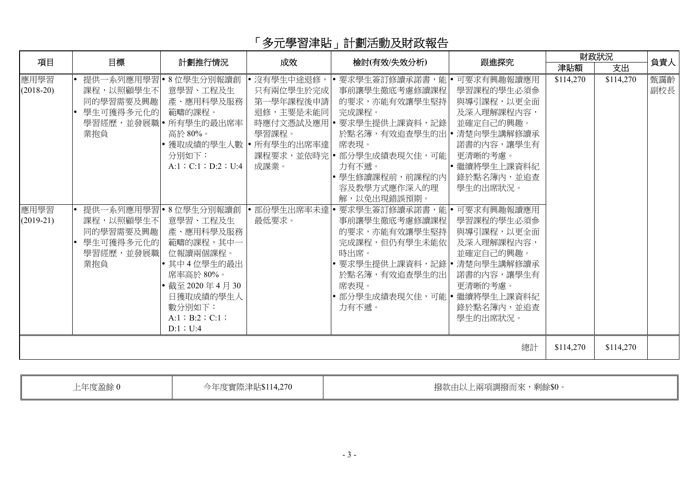## 「多元學習津貼」計劃活動及財政報告

| 項目                                         | 目標                                                                                                          | 計劃推行情況                                                                                                                                                                                                                                                            | 成效                                                                         | 檢討(有效/失效分析)                                                                                                                                                                                                                                                                                                                                                                          | 跟進探究                                                                                                                                                                                                      |           | 財政狀況      | 負責人        |
|--------------------------------------------|-------------------------------------------------------------------------------------------------------------|-------------------------------------------------------------------------------------------------------------------------------------------------------------------------------------------------------------------------------------------------------------------|----------------------------------------------------------------------------|--------------------------------------------------------------------------------------------------------------------------------------------------------------------------------------------------------------------------------------------------------------------------------------------------------------------------------------------------------------------------------------|-----------------------------------------------------------------------------------------------------------------------------------------------------------------------------------------------------------|-----------|-----------|------------|
|                                            |                                                                                                             |                                                                                                                                                                                                                                                                   |                                                                            |                                                                                                                                                                                                                                                                                                                                                                                      |                                                                                                                                                                                                           | 津貼額       | 支出        |            |
| 應用學習<br>$(2018-20)$<br>應用學習<br>$(2019-21)$ | 課程,以照顧學生不<br>同的學習需要及興趣<br>• 學生可獲得多元化的 <br>業抱負<br>課程,以照顧學生不 <br>同的學習需要及興趣<br>• 學生可獲得多元化的<br>學習經歷,並發展職<br>業抱負 | 提供一系列應用學習 •8位學生分別報讀創<br>意學習、工程及生<br>産、應用科學及服務<br>範疇的課程。<br>學習經歷,並發展職  所有學生的最出席率  <br>高於80%。<br> • 獲取成績的學生人數  • 所有學生的出席率達  <br>分別如下:<br>A:1 ; C:1 ; D:2 ; U:4<br>提供一系列應用學習 •8位學生分別報讀創<br>意學習、工程及生<br>産、應用科學及服務<br>範疇的課程,其中一<br>位報讀兩個課程。<br>• 其中4位學生的最出<br>席率高於80%。 | 沒有學生中途退修,<br>只有兩位學生於完成<br>第一學年課程後申請<br>退修,主要是未能同<br>學習課程。<br>成課業。<br>最低要求。 | • 要求學生簽訂修讀承諾書,能 • 可要求有興趣報讀應用<br>事前讓學生徹底考慮修讀課程<br>的要求,亦能有效讓學生堅持 <br>完成課程。<br>時應付文憑試及應用   要求學生提供上課資料,記錄  <br>於點名簿,有效追查學生的出 •<br>席表現。<br>課程要求,並依時完 •部分學生成績表現欠佳,可能 <br>力有不遞。<br> • 學生修讀課程前,前課程的內 <br>容及教學方式應作深入的理<br>解,以免出現錯誤預期。<br>部份學生出席率未達 • 要求學生簽訂修讀承諾書,能 • 可要求有興趣報讀應用<br>事前讓學生徹底考慮修讀課程<br>的要求,亦能有效讓學生堅持 <br>完成課程,但仍有學生未能依<br>時出席。<br> • 要求學生提供上課資料,記錄 • 清楚向學生講解修讀承<br>於點名簿,有效追查學生的出 | 學習課程的學生必須參<br>與導引課程,以更全面<br>及深入理解課程內容,<br>並確定自己的興趣。<br>清楚向學生講解修讀承<br>諾書的內容,讓學生有<br>更清晰的考慮。<br>• 繼續將學生上課資料紀<br>錄於點名簿內,並追查<br>學生的出席狀況。<br>學習課程的學生必須參<br>與導引課程,以更全面<br>及深入理解課程內容,<br>並確定自己的興趣。<br>諾書的內容,讓學生有 | \$114,270 | \$114,270 | 甄靄齡<br>副校長 |
|                                            |                                                                                                             | • 截至 2020年4月30<br>日獲取成績的學生人<br>數分別如下:<br>$A:1$ ; B:2; C:1;<br>$D:1$ ; U:4                                                                                                                                                                                         |                                                                            | 席表現。<br> • 部分學生成績表現欠佳,可能 • 繼續將學生上課資料紀 <br>力有不遞。                                                                                                                                                                                                                                                                                                                                      | 更清晰的考慮。<br>錄於點名簿內,並追查<br>學生的出席狀況。                                                                                                                                                                         |           |           |            |
|                                            |                                                                                                             |                                                                                                                                                                                                                                                                   |                                                                            |                                                                                                                                                                                                                                                                                                                                                                                      | 總計                                                                                                                                                                                                        | \$114,270 | \$114,270 |            |